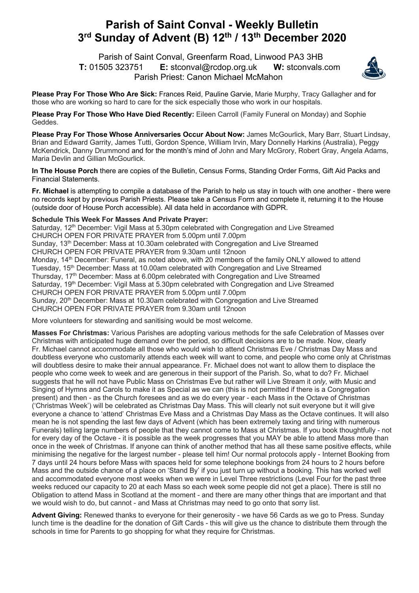## **Parish of Saint Conval - Weekly Bulletin 3rd Sunday of Advent (B) 12th / 13th December 2020**

 Parish of Saint Conval, Greenfarm Road, Linwood PA3 3HB **T:** 01505 323751 **E:** stconval@rcdop.org.uk **W:** stconvals.com Parish Priest: Canon Michael McMahon



**Please Pray For Those Who Are Sick:** Frances Reid, Pauline Garvie, Marie Murphy, Tracy Gallagher and for those who are working so hard to care for the sick especially those who work in our hospitals.

**Please Pray For Those Who Have Died Recently:** Eileen Carroll (Family Funeral on Monday) and Sophie Geddes.

**Please Pray For Those Whose Anniversaries Occur About Now:** James McGourlick, Mary Barr, Stuart Lindsay, Brian and Edward Garrity, James Tutti, Gordon Spence, William Irvin, Mary Donnelly Harkins (Australia), Peggy McKendrick, Danny Drummond and for the month's mind of John and Mary McGrory, Robert Gray, Angela Adams, Maria Devlin and Gillian McGourlick.

**In The House Porch** there are copies of the Bulletin, Census Forms, Standing Order Forms, Gift Aid Packs and Financial Statements.

**Fr. Michael** is attempting to compile a database of the Parish to help us stay in touch with one another - there were no records kept by previous Parish Priests. Please take a Census Form and complete it, returning it to the House (outside door of House Porch accessible). All data held in accordance with GDPR.

## **Schedule This Week For Masses And Private Prayer:**

Saturday, 12<sup>th</sup> December: Vigil Mass at 5.30pm celebrated with Congregation and Live Streamed CHURCH OPEN FOR PRIVATE PRAYER from 5.00pm until 7.00pm Sunday, 13<sup>th</sup> December: Mass at 10.30am celebrated with Congregation and Live Streamed CHURCH OPEN FOR PRIVATE PRAYER from 9.30am until 12noon Monday, 14<sup>th</sup> December: Funeral, as noted above, with 20 members of the family ONLY allowed to attend Tuesday, 15<sup>th</sup> December: Mass at 10.00am celebrated with Congregation and Live Streamed Thursday, 17<sup>th</sup> December: Mass at 6.00pm celebrated with Congregation and Live Streamed Saturday, 19<sup>th</sup> December: Vigil Mass at 5.30pm celebrated with Congregation and Live Streamed CHURCH OPEN FOR PRIVATE PRAYER from 5.00pm until 7.00pm Sunday, 20<sup>th</sup> December: Mass at 10.30am celebrated with Congregation and Live Streamed CHURCH OPEN FOR PRIVATE PRAYER from 9.30am until 12noon

More volunteers for stewarding and sanitising would be most welcome.

**Masses For Christmas:** Various Parishes are adopting various methods for the safe Celebration of Masses over Christmas with anticipated huge demand over the period, so difficult decisions are to be made. Now, clearly Fr. Michael cannot accommodate all those who would wish to attend Christmas Eve / Christmas Day Mass and doubtless everyone who customarily attends each week will want to come, and people who come only at Christmas will doubtless desire to make their annual appearance. Fr. Michael does not want to allow them to displace the people who come week to week and are generous in their support of the Parish. So, what to do? Fr. Michael suggests that he will not have Public Mass on Christmas Eve but rather will Live Stream it *only,* with Music and Singing of Hymns and Carols to make it as Special as we can (this is not permitted if there is a Congregation present) and then - as the Church foresees and as we do every year - each Mass in the Octave of Christmas ('Christmas Week') will be celebrated as Christmas Day Mass. This will clearly not suit everyone but it will give everyone a chance to 'attend' Christmas Eve Mass and a Christmas Day Mass as the Octave continues. It will also mean he is not spending the last few days of Advent (which has been extremely taxing and tiring with numerous Funerals) telling large numbers of people that they cannot come to Mass at Christmas. If you book thoughtfully - not for every day of the Octave - it is possible as the week progresses that you MAY be able to attend Mass more than once in the week of Christmas. If anyone can think of another method that has all these same positive effects, while minimising the negative for the largest number - please tell him! Our normal protocols apply - Internet Booking from 7 days until 24 hours before Mass with spaces held for some telephone bookings from 24 hours to 2 hours before Mass and the outside chance of a place on 'Stand By' if you just turn up without a booking. This has worked well and accommodated everyone most weeks when we were in Level Three restrictions (Level Four for the past three weeks reduced our capacity to 20 at each Mass so each week some people did not get a place). There is still no Obligation to attend Mass in Scotland at the moment - and there are many other things that are important and that we would wish to do, but cannot - and Mass at Christmas may need to go onto that sorry list.

**Advent Giving:** Renewed thanks to everyone for their generosity - we have 56 Cards as we go to Press. Sunday lunch time is the deadline for the donation of Gift Cards - this will give us the chance to distribute them through the schools in time for Parents to go shopping for what they require for Christmas.